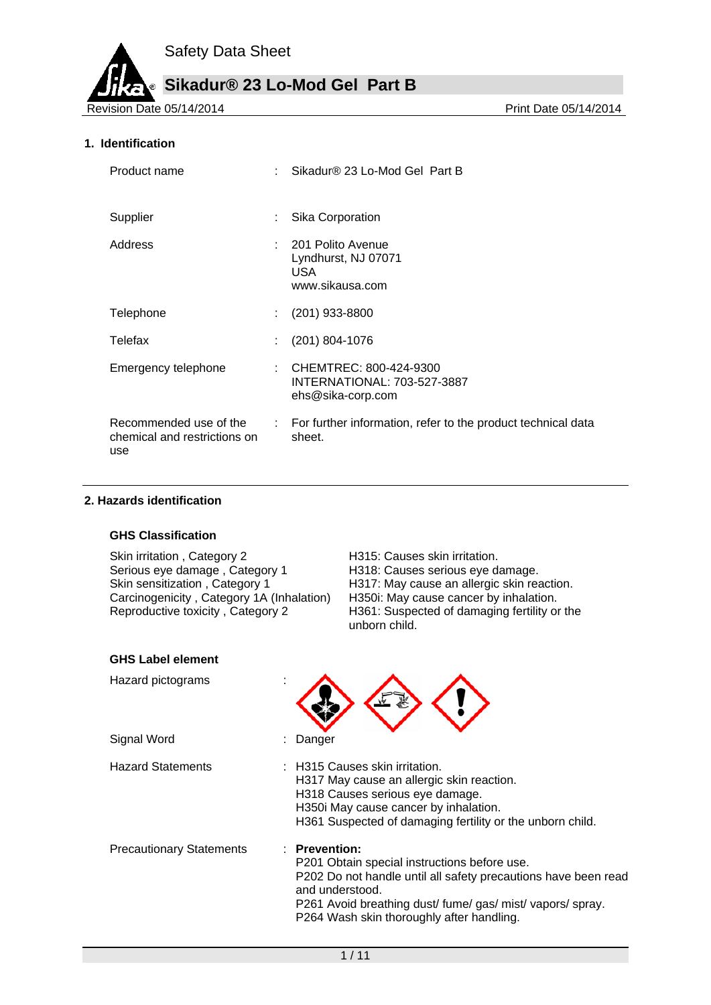**Sikadur® 23 Lo-Mod Gel Part B**

Revision Date 05/14/2014

### **1. Identification**

| Product name                                                  | Sikadur® 23 Lo-Mod Gel Part B                                                |
|---------------------------------------------------------------|------------------------------------------------------------------------------|
| Supplier                                                      | Sika Corporation                                                             |
| Address                                                       | : 201 Polito Avenue<br>Lyndhurst, NJ 07071<br><b>USA</b><br>www.sikausa.com  |
| Telephone                                                     | $(201)$ 933-8800                                                             |
| Telefax                                                       | $(201) 804 - 1076$                                                           |
| Emergency telephone                                           | : CHEMTREC: 800-424-9300<br>INTERNATIONAL: 703-527-3887<br>ehs@sika-corp.com |
| Recommended use of the<br>chemical and restrictions on<br>use | : For further information, refer to the product technical data<br>sheet.     |

### **2. Hazards identification**

#### **GHS Classification**

Skin irritation, Category 2 Film H315: Causes skin irritation.<br>Serious eye damage, Category 1 H318: Causes serious eye damage. Serious eye damage, Category 1<br>Skin sensitization, Category 1 Carcinogenicity , Category 1A (Inhalation)<br>Reproductive toxicity , Category 2

H317: May cause an allergic skin reaction.<br>H350i: May cause cancer by inhalation. H361: Suspected of damaging fertility or the unborn child.

| <b>GHS Label element</b>        |                                                                                                                                                                                                                                                               |
|---------------------------------|---------------------------------------------------------------------------------------------------------------------------------------------------------------------------------------------------------------------------------------------------------------|
| Hazard pictograms               |                                                                                                                                                                                                                                                               |
| Signal Word                     | Danger                                                                                                                                                                                                                                                        |
| <b>Hazard Statements</b>        | $\pm$ H315 Causes skin irritation.<br>H317 May cause an allergic skin reaction.<br>H318 Causes serious eye damage.<br>H350i May cause cancer by inhalation.<br>H361 Suspected of damaging fertility or the unborn child.                                      |
| <b>Precautionary Statements</b> | <b>Prevention:</b><br>P201 Obtain special instructions before use.<br>P202 Do not handle until all safety precautions have been read<br>and understood.<br>P261 Avoid breathing dust/fume/gas/mist/vapors/spray.<br>P264 Wash skin thoroughly after handling. |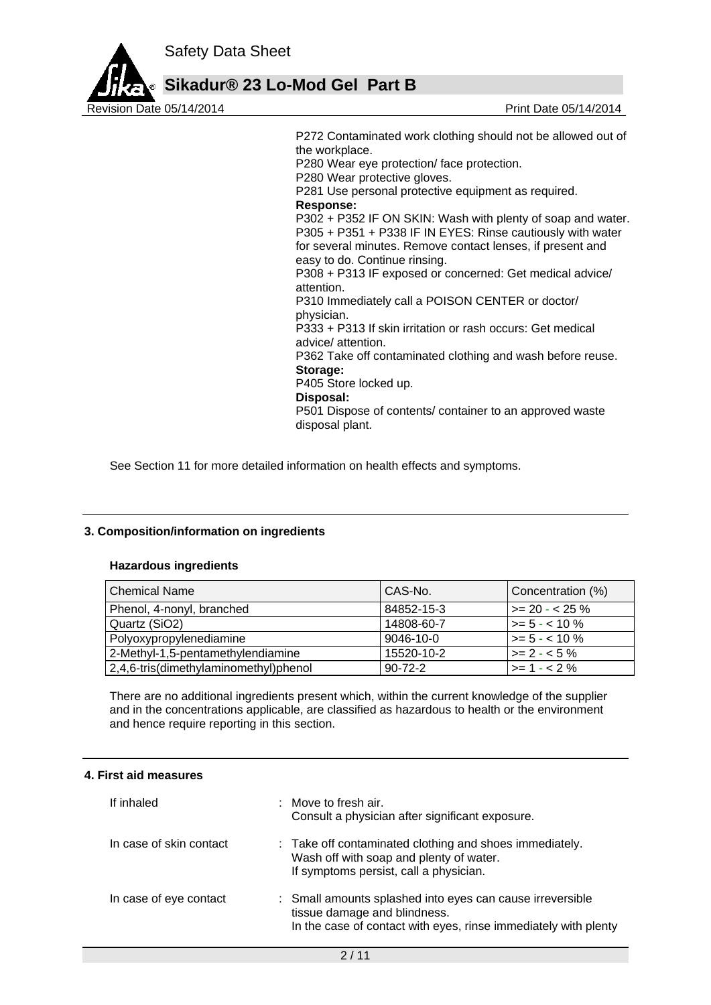



P272 Contaminated work clothing should not be allowed out of the workplace. P280 Wear eye protection/ face protection. P280 Wear protective gloves. P281 Use personal protective equipment as required. **Response:**  P302 + P352 IF ON SKIN: Wash with plenty of soap and water. P305 + P351 + P338 IF IN EYES: Rinse cautiously with water for several minutes. Remove contact lenses, if present and easy to do. Continue rinsing. P308 + P313 IF exposed or concerned: Get medical advice/ attention. P310 Immediately call a POISON CENTER or doctor/ physician. P333 + P313 If skin irritation or rash occurs: Get medical advice/ attention. P362 Take off contaminated clothing and wash before reuse. **Storage:**  P405 Store locked up. **Disposal:**  P501 Dispose of contents/ container to an approved waste disposal plant.

See Section 11 for more detailed information on health effects and symptoms.

### **3. Composition/information on ingredients**

### **Hazardous ingredients**

| <b>Chemical Name</b>                  | CAS-No.         | Concentration (%)     |
|---------------------------------------|-----------------|-----------------------|
| Phenol, 4-nonyl, branched             | 84852-15-3      | $\ge$ 20 - < 25 %     |
| Quartz (SiO2)                         | 14808-60-7      | $\vert$ >= 5 - < 10 % |
| Polyoxypropylenediamine               | $9046 - 10 - 0$ | $\vert$ >= 5 - < 10 % |
| 2-Methyl-1,5-pentamethylendiamine     | 15520-10-2      | $\vert$ >= 2 - < 5 %  |
| 2,4,6-tris(dimethylaminomethyl)phenol | $90 - 72 - 2$   | $\vert$ >= 1 - < 2 %  |

There are no additional ingredients present which, within the current knowledge of the supplier and in the concentrations applicable, are classified as hazardous to health or the environment and hence require reporting in this section.

#### **4. First aid measures**

| If inhaled              | $:$ Move to fresh air.<br>Consult a physician after significant exposure.                                                                                    |
|-------------------------|--------------------------------------------------------------------------------------------------------------------------------------------------------------|
| In case of skin contact | : Take off contaminated clothing and shoes immediately.<br>Wash off with soap and plenty of water.<br>If symptoms persist, call a physician.                 |
| In case of eye contact  | : Small amounts splashed into eyes can cause irreversible<br>tissue damage and blindness.<br>In the case of contact with eyes, rinse immediately with plenty |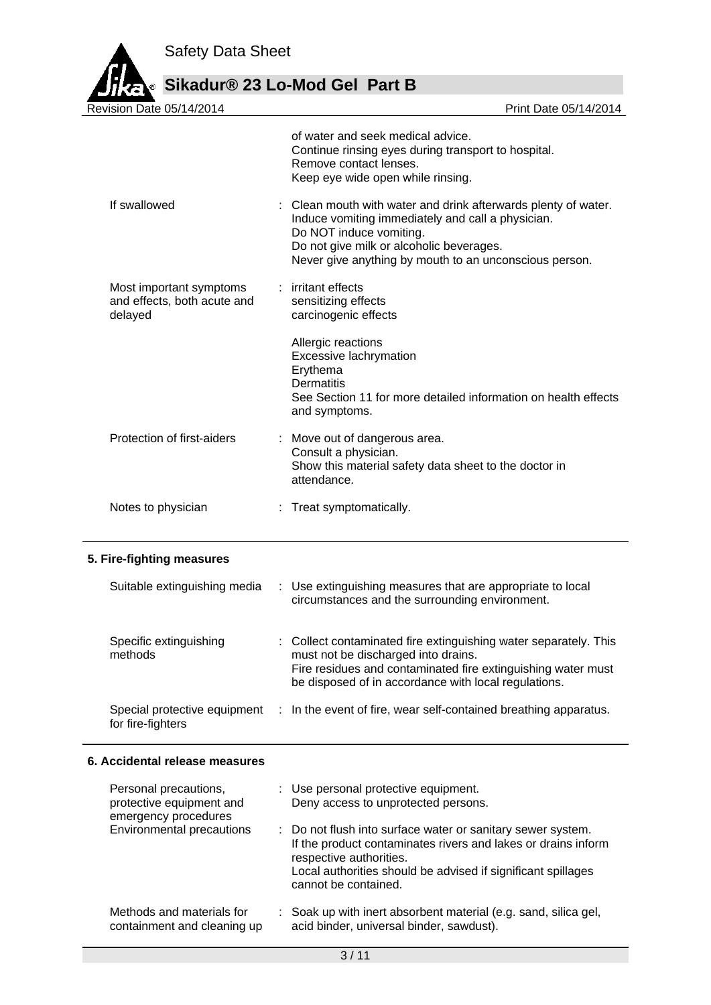

**Sikadur® 23 Lo-Mod Gel Part B**

| Revision Date 05/14/2014                                                                               | Print Date 05/14/2014                                                                                                                                                                                                                              |
|--------------------------------------------------------------------------------------------------------|----------------------------------------------------------------------------------------------------------------------------------------------------------------------------------------------------------------------------------------------------|
|                                                                                                        | of water and seek medical advice.<br>Continue rinsing eyes during transport to hospital.<br>Remove contact lenses.<br>Keep eye wide open while rinsing.                                                                                            |
| If swallowed                                                                                           | Clean mouth with water and drink afterwards plenty of water.<br>Induce vomiting immediately and call a physician.<br>Do NOT induce vomiting.<br>Do not give milk or alcoholic beverages.<br>Never give anything by mouth to an unconscious person. |
| Most important symptoms<br>and effects, both acute and<br>delayed                                      | : irritant effects<br>sensitizing effects<br>carcinogenic effects                                                                                                                                                                                  |
|                                                                                                        | Allergic reactions<br>Excessive lachrymation<br>Erythema<br><b>Dermatitis</b><br>See Section 11 for more detailed information on health effects<br>and symptoms.                                                                                   |
| Protection of first-aiders                                                                             | Move out of dangerous area.<br>Consult a physician.<br>Show this material safety data sheet to the doctor in<br>attendance.                                                                                                                        |
| Notes to physician                                                                                     | : Treat symptomatically.                                                                                                                                                                                                                           |
| 5. Fire-fighting measures                                                                              |                                                                                                                                                                                                                                                    |
| Suitable extinguishing media                                                                           | : Use extinguishing measures that are appropriate to local<br>circumstances and the surrounding environment.                                                                                                                                       |
| Specific extinguishing<br>methods                                                                      | : Collect contaminated fire extinguishing water separately. This<br>must not be discharged into drains.<br>Fire residues and contaminated fire extinguishing water must<br>be disposed of in accordance with local regulations.                    |
| Special protective equipment<br>for fire-fighters                                                      | : In the event of fire, wear self-contained breathing apparatus.                                                                                                                                                                                   |
| 6. Accidental release measures                                                                         |                                                                                                                                                                                                                                                    |
| Personal precautions,<br>protective equipment and<br>emergency procedures<br>Environmental precautions | : Use personal protective equipment.<br>Deny access to unprotected persons.                                                                                                                                                                        |
|                                                                                                        | : Do not flush into surface water or sanitary sewer system.<br>If the product contaminates rivers and lakes or drains inform<br>respective authorities.<br>Local authorities should be advised if significant spillages<br>cannot be contained.    |
| Methods and materials for<br>containment and cleaning up                                               | : Soak up with inert absorbent material (e.g. sand, silica gel,<br>acid binder, universal binder, sawdust).                                                                                                                                        |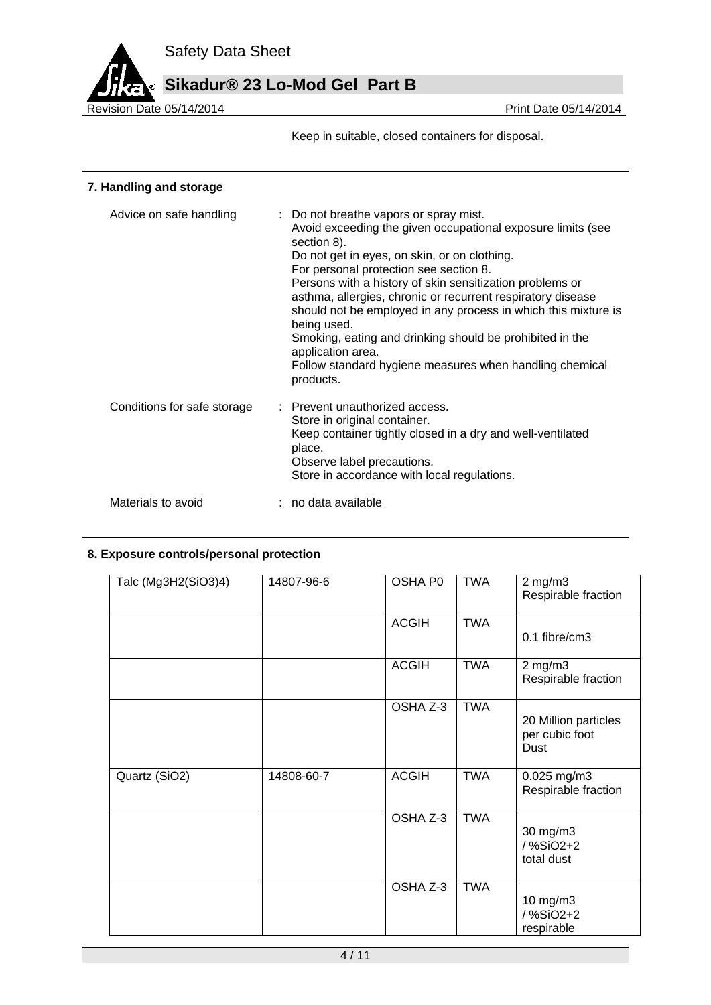

Keep in suitable, closed containers for disposal.

### **7. Handling and storage**

| Advice on safe handling     | : Do not breathe vapors or spray mist.<br>Avoid exceeding the given occupational exposure limits (see<br>section 8).<br>Do not get in eyes, on skin, or on clothing.<br>For personal protection see section 8.<br>Persons with a history of skin sensitization problems or<br>asthma, allergies, chronic or recurrent respiratory disease<br>should not be employed in any process in which this mixture is<br>being used.<br>Smoking, eating and drinking should be prohibited in the<br>application area.<br>Follow standard hygiene measures when handling chemical<br>products. |
|-----------------------------|-------------------------------------------------------------------------------------------------------------------------------------------------------------------------------------------------------------------------------------------------------------------------------------------------------------------------------------------------------------------------------------------------------------------------------------------------------------------------------------------------------------------------------------------------------------------------------------|
| Conditions for safe storage | : Prevent unauthorized access.<br>Store in original container.<br>Keep container tightly closed in a dry and well-ventilated<br>place.<br>Observe label precautions.<br>Store in accordance with local regulations.                                                                                                                                                                                                                                                                                                                                                                 |
| Materials to avoid          | : no data available                                                                                                                                                                                                                                                                                                                                                                                                                                                                                                                                                                 |

### **8. Exposure controls/personal protection**

| Talc (Mg3H2(SiO3)4) | 14807-96-6 | OSHA P0      | <b>TWA</b> | $2$ mg/m $3$<br>Respirable fraction            |
|---------------------|------------|--------------|------------|------------------------------------------------|
|                     |            | <b>ACGIH</b> | <b>TWA</b> | 0.1 fibre/cm3                                  |
|                     |            | <b>ACGIH</b> | <b>TWA</b> | $2$ mg/m $3$<br>Respirable fraction            |
|                     |            | OSHA Z-3     | <b>TWA</b> | 20 Million particles<br>per cubic foot<br>Dust |
| Quartz (SiO2)       | 14808-60-7 | <b>ACGIH</b> | <b>TWA</b> | 0.025 mg/m3<br>Respirable fraction             |
|                     |            | OSHA Z-3     | <b>TWA</b> | 30 mg/m3<br>/%SiO2+2<br>total dust             |
|                     |            | OSHA Z-3     | <b>TWA</b> | 10 mg/m3<br>/%SiO2+2<br>respirable             |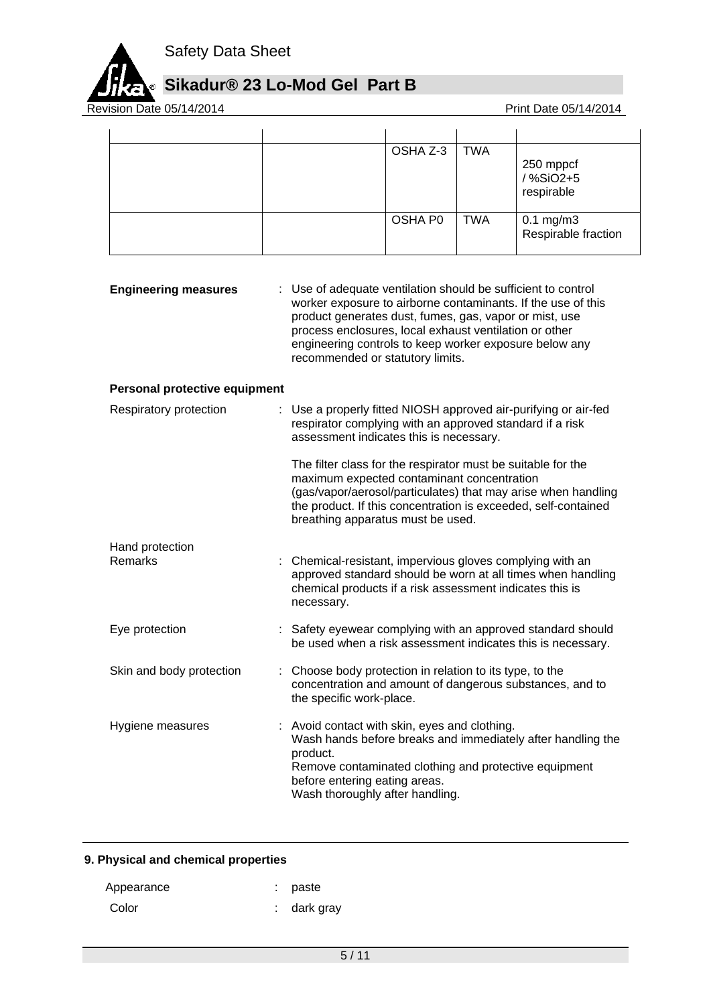

## **Sikadur® 23 Lo-Mod Gel Part B**

Revision Date 05/14/2014

|  | OSHA Z-3 | <b>TWA</b> | 250 mppcf<br>/ %SiO2+5<br>respirable        |
|--|----------|------------|---------------------------------------------|
|  | OSHA P0  | <b>TWA</b> | $0.1 \text{ mg/m}$ 3<br>Respirable fraction |

| <b>Engineering measures</b> | : Use of adequate ventilation should be sufficient to control<br>worker exposure to airborne contaminants. If the use of this<br>product generates dust, fumes, gas, vapor or mist, use<br>process enclosures, local exhaust ventilation or other<br>engineering controls to keep worker exposure below any<br>recommended or statutory limits. |
|-----------------------------|-------------------------------------------------------------------------------------------------------------------------------------------------------------------------------------------------------------------------------------------------------------------------------------------------------------------------------------------------|
|                             |                                                                                                                                                                                                                                                                                                                                                 |

### **Personal protective equipment**

| Respiratory protection   | : Use a properly fitted NIOSH approved air-purifying or air-fed<br>respirator complying with an approved standard if a risk<br>assessment indicates this is necessary.                                                                                                             |
|--------------------------|------------------------------------------------------------------------------------------------------------------------------------------------------------------------------------------------------------------------------------------------------------------------------------|
|                          | The filter class for the respirator must be suitable for the<br>maximum expected contaminant concentration<br>(gas/vapor/aerosol/particulates) that may arise when handling<br>the product. If this concentration is exceeded, self-contained<br>breathing apparatus must be used. |
| Hand protection          |                                                                                                                                                                                                                                                                                    |
| Remarks                  | : Chemical-resistant, impervious gloves complying with an<br>approved standard should be worn at all times when handling<br>chemical products if a risk assessment indicates this is<br>necessary.                                                                                 |
| Eye protection           | : Safety eyewear complying with an approved standard should<br>be used when a risk assessment indicates this is necessary.                                                                                                                                                         |
| Skin and body protection | : Choose body protection in relation to its type, to the<br>concentration and amount of dangerous substances, and to<br>the specific work-place.                                                                                                                                   |
| Hygiene measures         | : Avoid contact with skin, eyes and clothing.<br>Wash hands before breaks and immediately after handling the<br>product.<br>Remove contaminated clothing and protective equipment<br>before entering eating areas.<br>Wash thoroughly after handling.                              |

### **9. Physical and chemical properties**

| Appearance | : paste     |
|------------|-------------|
| Color      | : dark gray |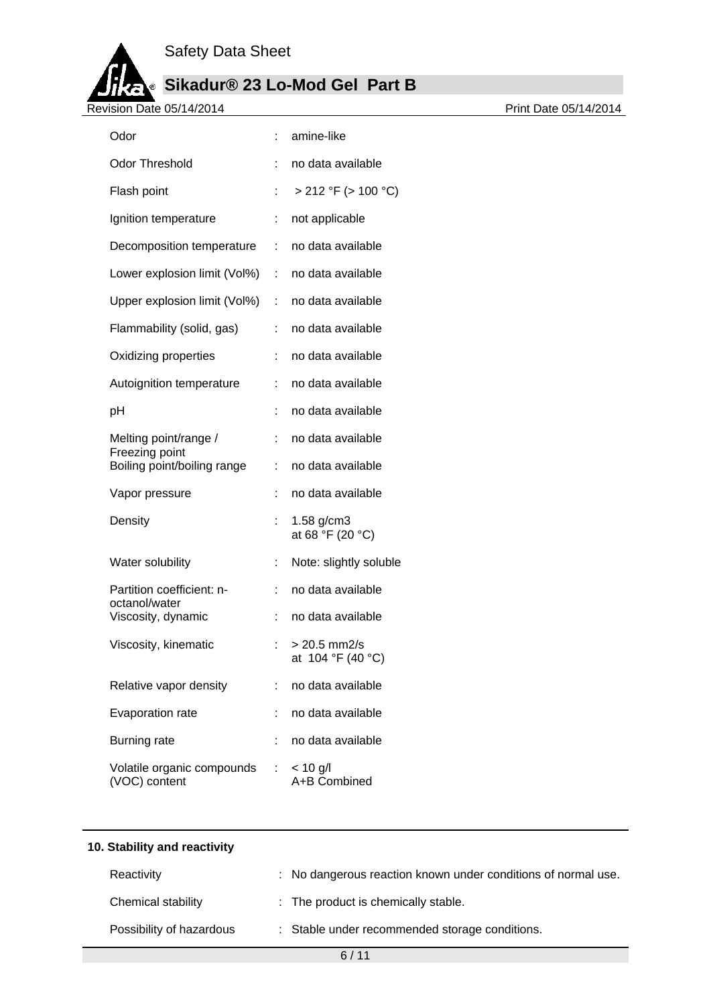

# **Sikadur® 23 Lo-Mod Gel Part B**

Revision Date 05/14/2014

| Odor                                             |                       | amine-like                          |
|--------------------------------------------------|-----------------------|-------------------------------------|
| <b>Odor Threshold</b>                            |                       | no data available                   |
| Flash point                                      | t                     | $> 212$ °F ( $> 100$ °C)            |
| Ignition temperature                             | ÷                     | not applicable                      |
| Decomposition temperature                        | $\mathbb{Z}^{\times}$ | no data available                   |
| Lower explosion limit (Vol%) : no data available |                       |                                     |
| Upper explosion limit (Vol%) : no data available |                       |                                     |
| Flammability (solid, gas)                        |                       | : no data available                 |
| Oxidizing properties                             | t.                    | no data available                   |
| Autoignition temperature                         | $\mathbb{R}^n$        | no data available                   |
| рH                                               |                       | no data available                   |
| Melting point/range /<br>Freezing point          | ÷.                    | no data available                   |
| Boiling point/boiling range                      | ÷                     | no data available                   |
| Vapor pressure                                   |                       | no data available                   |
| Density                                          | ÷                     | $1.58$ g/cm3<br>at 68 °F (20 °C)    |
| Water solubility                                 | ÷                     | Note: slightly soluble              |
| Partition coefficient: n-<br>octanol/water       | ÷                     | no data available                   |
| Viscosity, dynamic                               | ÷                     | no data available                   |
| Viscosity, kinematic                             |                       | $> 20.5$ mm2/s<br>at 104 °F (40 °C) |
| Relative vapor density                           | ÷                     | no data available                   |
| Evaporation rate                                 |                       | no data available                   |
| <b>Burning rate</b>                              |                       | no data available                   |
| Volatile organic compounds<br>(VOC) content      | ÷                     | $< 10$ g/l<br>A+B Combined          |

| 10. Stability and reactivity |                                                               |
|------------------------------|---------------------------------------------------------------|
| Reactivity                   | : No dangerous reaction known under conditions of normal use. |
| Chemical stability           | : The product is chemically stable.                           |
| Possibility of hazardous     | : Stable under recommended storage conditions.                |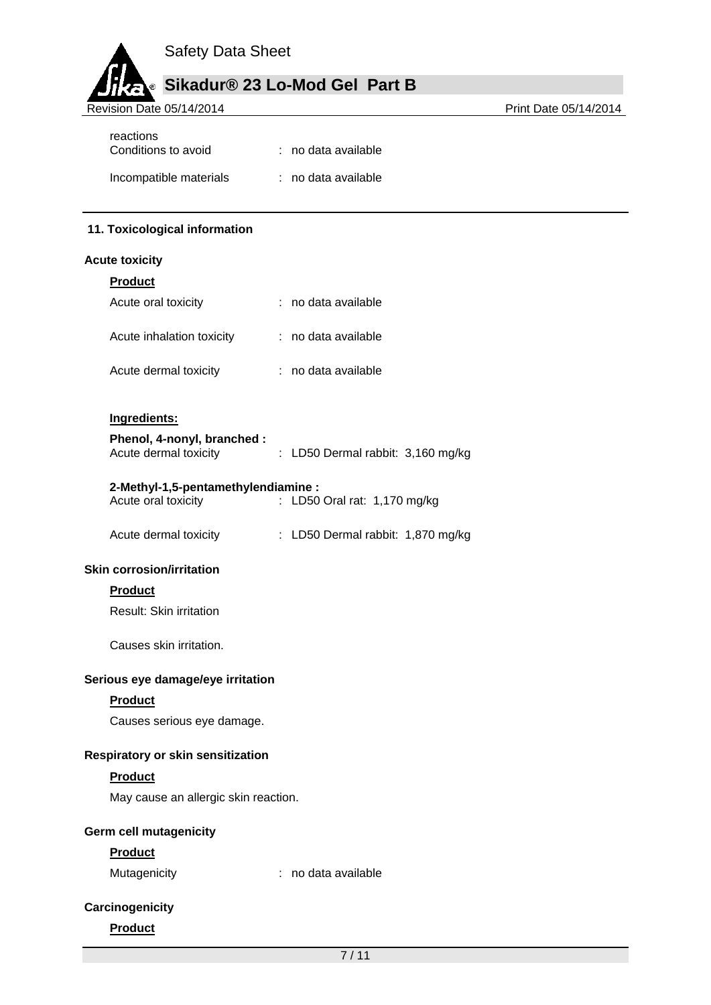## **Sikadur® 23 Lo-Mod Gel Part B**

Revision Date 05/14/2014

| reactions<br>Conditions to avoid | : no data available |
|----------------------------------|---------------------|
| Incompatible materials           | : no data available |

### **11. Toxicological information**

### **Acute toxicity**

| <b>Product</b>                                            |    |                                   |
|-----------------------------------------------------------|----|-----------------------------------|
| Acute oral toxicity                                       |    | : no data available               |
| Acute inhalation toxicity                                 |    | : no data available               |
| Acute dermal toxicity                                     |    | : no data available               |
| Ingredients:                                              |    |                                   |
| Phenol, 4-nonyl, branched :<br>Acute dermal toxicity      |    | : LD50 Dermal rabbit: 3,160 mg/kg |
| 2-Methyl-1,5-pentamethylendiamine:<br>Acute oral toxicity | ÷. | LD50 Oral rat: 1,170 mg/kg        |
| Acute dermal toxicity                                     |    | : LD50 Dermal rabbit: 1,870 mg/kg |
| <b>Skin corrosion/irritation</b>                          |    |                                   |
| <b>Product</b>                                            |    |                                   |
| <b>Result: Skin irritation</b>                            |    |                                   |
| Causes skin irritation.                                   |    |                                   |
| Serious eye damage/eye irritation                         |    |                                   |
| <b>Product</b>                                            |    |                                   |
| Causes serious eye damage.                                |    |                                   |
| Respiratory or skin sensitization                         |    |                                   |
| <b>Product</b>                                            |    |                                   |
| May cause an allergic skin reaction.                      |    |                                   |
|                                                           |    |                                   |

### **Germ cell mutagenicity**

### **Product**

Mutagenicity **interest and a** : no data available

### **Carcinogenicity**

### **Product**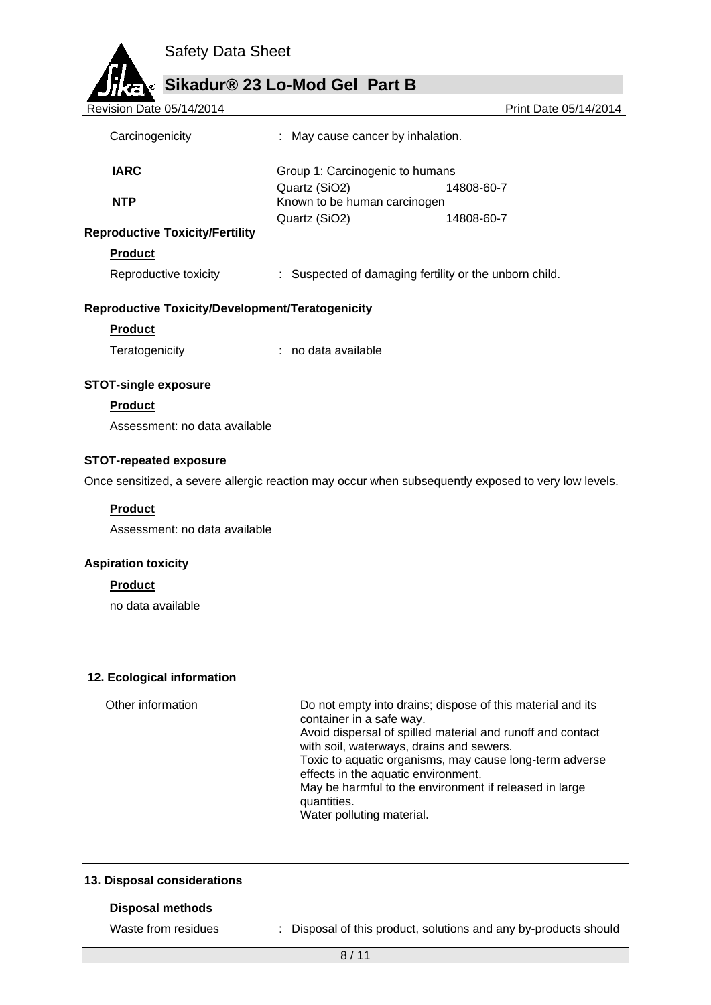

**Sikadur® 23 Lo-Mod Gel Part B**

| Revision Date 05/14/2014                                |                                               | Print Date 05/14/2014                                  |
|---------------------------------------------------------|-----------------------------------------------|--------------------------------------------------------|
| Carcinogenicity                                         | : May cause cancer by inhalation.             |                                                        |
| <b>IARC</b>                                             | Group 1: Carcinogenic to humans               |                                                        |
| <b>NTP</b>                                              | Quartz (SiO2)<br>Known to be human carcinogen | 14808-60-7                                             |
|                                                         | Quartz (SiO2)                                 | 14808-60-7                                             |
| <b>Reproductive Toxicity/Fertility</b>                  |                                               |                                                        |
| <b>Product</b>                                          |                                               |                                                        |
| Reproductive toxicity                                   |                                               | : Suspected of damaging fertility or the unborn child. |
| <b>Reproductive Toxicity/Development/Teratogenicity</b> |                                               |                                                        |
| <b>Product</b>                                          |                                               |                                                        |
| Teratogenicity                                          | : no data available                           |                                                        |

### **STOT-single exposure**

### **Product**

Assessment: no data available

#### **STOT-repeated exposure**

Once sensitized, a severe allergic reaction may occur when subsequently exposed to very low levels.

### **Product**

Assessment: no data available

#### **Aspiration toxicity**

### **Product**

no data available

#### **12. Ecological information**

Other information Do not empty into drains; dispose of this material and its container in a safe way. Avoid dispersal of spilled material and runoff and contact with soil, waterways, drains and sewers. Toxic to aquatic organisms, may cause long-term adverse effects in the aquatic environment. May be harmful to the environment if released in large quantities. Water polluting material.

### **13. Disposal considerations**

#### **Disposal methods**

Waste from residues : Disposal of this product, solutions and any by-products should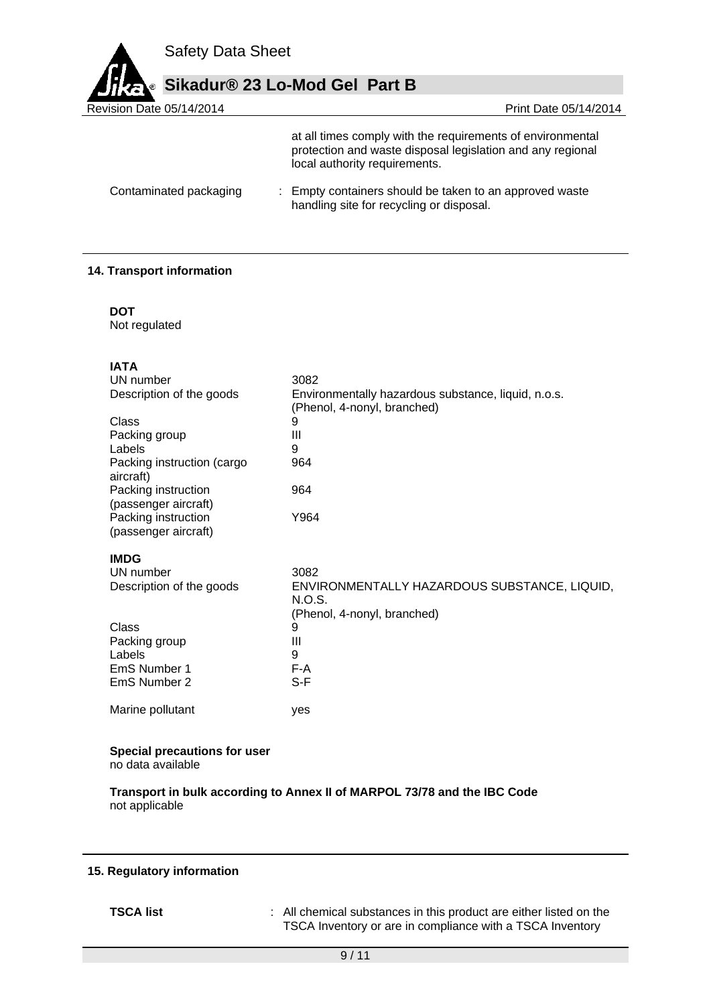

| Sikadur® 23 Lo-Mod Gel Part B |                                                                                                                                                           |
|-------------------------------|-----------------------------------------------------------------------------------------------------------------------------------------------------------|
| Revision Date 05/14/2014      | Print Date 05/14/2014                                                                                                                                     |
|                               | at all times comply with the requirements of environmental<br>protection and waste disposal legislation and any regional<br>local authority requirements. |
| Contaminated packaging        | : Empty containers should be taken to an approved waste                                                                                                   |

handling site for recycling or disposal.

### **14. Transport information**

| ٠<br>۹<br>v<br>× |  |
|------------------|--|
|                  |  |

Not regulated

| 3082                                                                                  |
|---------------------------------------------------------------------------------------|
| Environmentally hazardous substance, liquid, n.o.s.<br>(Phenol, 4-nonyl, branched)    |
| 9                                                                                     |
| $\mathbf{III}$                                                                        |
| 9                                                                                     |
| 964                                                                                   |
| 964                                                                                   |
| Y964                                                                                  |
|                                                                                       |
| 3082                                                                                  |
| ENVIRONMENTALLY HAZARDOUS SUBSTANCE, LIQUID,<br>N.O.S.<br>(Phenol, 4-nonyl, branched) |
| 9                                                                                     |
| Ш                                                                                     |
| 9                                                                                     |
| F-A                                                                                   |
| S-F                                                                                   |
| yes                                                                                   |
|                                                                                       |

### **Special precautions for user**

no data available

**Transport in bulk according to Annex II of MARPOL 73/78 and the IBC Code** not applicable

### **15. Regulatory information**

**TSCA list** : All chemical substances in this product are either listed on the TSCA Inventory or are in compliance with a TSCA Inventory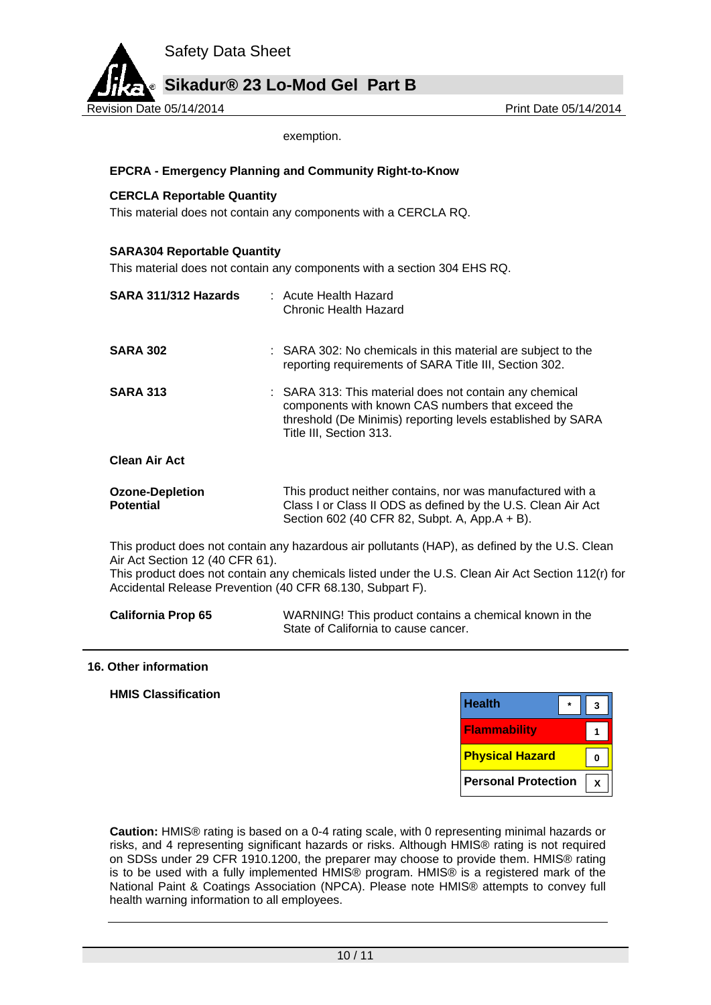

exemption.

### **EPCRA - Emergency Planning and Community Right-to-Know**

### **CERCLA Reportable Quantity**

This material does not contain any components with a CERCLA RQ.

### **SARA304 Reportable Quantity**

This material does not contain any components with a section 304 EHS RQ.

| SARA 311/312 Hazards                       | : Acute Health Hazard<br>Chronic Health Hazard                                                                                                                                                         |
|--------------------------------------------|--------------------------------------------------------------------------------------------------------------------------------------------------------------------------------------------------------|
| <b>SARA 302</b>                            | : SARA 302: No chemicals in this material are subject to the<br>reporting requirements of SARA Title III, Section 302.                                                                                 |
| <b>SARA 313</b>                            | : SARA 313: This material does not contain any chemical<br>components with known CAS numbers that exceed the<br>threshold (De Minimis) reporting levels established by SARA<br>Title III, Section 313. |
| <b>Clean Air Act</b>                       |                                                                                                                                                                                                        |
| <b>Ozone-Depletion</b><br><b>Potential</b> | This product neither contains, nor was manufactured with a<br>Class I or Class II ODS as defined by the U.S. Clean Air Act<br>Section 602 (40 CFR 82, Subpt. A, App.A + B).                            |
|                                            | This product does not contain any hazardous air pollutants (HAP), as defined by the U.S. Clear                                                                                                         |

This product does not contain any hazardous air pollutants (HAP), as defined by the U.S. Clean Air Act Section 12 (40 CFR 61).

This product does not contain any chemicals listed under the U.S. Clean Air Act Section 112(r) for Accidental Release Prevention (40 CFR 68.130, Subpart F).

| <b>California Prop 65</b> | WARNING! This product contains a chemical known in the |
|---------------------------|--------------------------------------------------------|
|                           | State of California to cause cancer.                   |

#### **16. Other information**

| <b>HMIS Classification</b> |  |
|----------------------------|--|
|                            |  |

| <b>Health</b>              |  |
|----------------------------|--|
| <b>Flammability</b>        |  |
| <b>Physical Hazard</b>     |  |
| <b>Personal Protection</b> |  |

**Caution:** HMIS® rating is based on a 0-4 rating scale, with 0 representing minimal hazards or risks, and 4 representing significant hazards or risks. Although HMIS® rating is not required on SDSs under 29 CFR 1910.1200, the preparer may choose to provide them. HMIS® rating is to be used with a fully implemented HMIS® program. HMIS® is a registered mark of the National Paint & Coatings Association (NPCA). Please note HMIS® attempts to convey full health warning information to all employees.